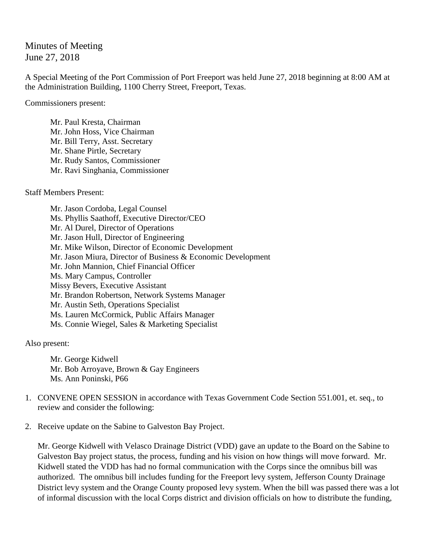## Minutes of Meeting June 27, 2018

A Special Meeting of the Port Commission of Port Freeport was held June 27, 2018 beginning at 8:00 AM at the Administration Building, 1100 Cherry Street, Freeport, Texas.

Commissioners present:

Mr. Paul Kresta, Chairman Mr. John Hoss, Vice Chairman Mr. Bill Terry, Asst. Secretary Mr. Shane Pirtle, Secretary Mr. Rudy Santos, Commissioner Mr. Ravi Singhania, Commissioner

Staff Members Present:

Mr. Jason Cordoba, Legal Counsel Ms. Phyllis Saathoff, Executive Director/CEO Mr. Al Durel, Director of Operations Mr. Jason Hull, Director of Engineering Mr. Mike Wilson, Director of Economic Development Mr. Jason Miura, Director of Business & Economic Development Mr. John Mannion, Chief Financial Officer Ms. Mary Campus, Controller Missy Bevers, Executive Assistant Mr. Brandon Robertson, Network Systems Manager Mr. Austin Seth, Operations Specialist Ms. Lauren McCormick, Public Affairs Manager Ms. Connie Wiegel, Sales & Marketing Specialist

Also present:

Mr. George Kidwell Mr. Bob Arroyave, Brown & Gay Engineers Ms. Ann Poninski, P66

- 1. CONVENE OPEN SESSION in accordance with Texas Government Code Section 551.001, et. seq., to review and consider the following:
- 2. Receive update on the Sabine to Galveston Bay Project.

Mr. George Kidwell with Velasco Drainage District (VDD) gave an update to the Board on the Sabine to Galveston Bay project status, the process, funding and his vision on how things will move forward. Mr. Kidwell stated the VDD has had no formal communication with the Corps since the omnibus bill was authorized. The omnibus bill includes funding for the Freeport levy system, Jefferson County Drainage District levy system and the Orange County proposed levy system. When the bill was passed there was a lot of informal discussion with the local Corps district and division officials on how to distribute the funding,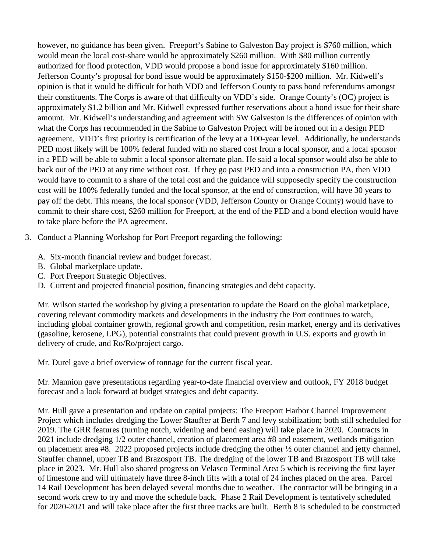however, no guidance has been given. Freeport's Sabine to Galveston Bay project is \$760 million, which would mean the local cost-share would be approximately \$260 million. With \$80 million currently authorized for flood protection, VDD would propose a bond issue for approximately \$160 million. Jefferson County's proposal for bond issue would be approximately \$150-\$200 million. Mr. Kidwell's opinion is that it would be difficult for both VDD and Jefferson County to pass bond referendums amongst their constituents. The Corps is aware of that difficulty on VDD's side. Orange County's (OC) project is approximately \$1.2 billion and Mr. Kidwell expressed further reservations about a bond issue for their share amount. Mr. Kidwell's understanding and agreement with SW Galveston is the differences of opinion with what the Corps has recommended in the Sabine to Galveston Project will be ironed out in a design PED agreement. VDD's first priority is certification of the levy at a 100-year level. Additionally, he understands PED most likely will be 100% federal funded with no shared cost from a local sponsor, and a local sponsor in a PED will be able to submit a local sponsor alternate plan. He said a local sponsor would also be able to back out of the PED at any time without cost. If they go past PED and into a construction PA, then VDD would have to commit to a share of the total cost and the guidance will supposedly specify the construction cost will be 100% federally funded and the local sponsor, at the end of construction, will have 30 years to pay off the debt. This means, the local sponsor (VDD, Jefferson County or Orange County) would have to commit to their share cost, \$260 million for Freeport, at the end of the PED and a bond election would have to take place before the PA agreement.

- 3. Conduct a Planning Workshop for Port Freeport regarding the following:
	- A. Six-month financial review and budget forecast.
	- B. Global marketplace update.
	- C. Port Freeport Strategic Objectives.
	- D. Current and projected financial position, financing strategies and debt capacity.

Mr. Wilson started the workshop by giving a presentation to update the Board on the global marketplace, covering relevant commodity markets and developments in the industry the Port continues to watch, including global container growth, regional growth and competition, resin market, energy and its derivatives (gasoline, kerosene, LPG), potential constraints that could prevent growth in U.S. exports and growth in delivery of crude, and Ro/Ro/project cargo.

Mr. Durel gave a brief overview of tonnage for the current fiscal year.

Mr. Mannion gave presentations regarding year-to-date financial overview and outlook, FY 2018 budget forecast and a look forward at budget strategies and debt capacity.

Mr. Hull gave a presentation and update on capital projects: The Freeport Harbor Channel Improvement Project which includes dredging the Lower Stauffer at Berth 7 and levy stabilization; both still scheduled for 2019. The GRR features (turning notch, widening and bend easing) will take place in 2020. Contracts in 2021 include dredging 1/2 outer channel, creation of placement area #8 and easement, wetlands mitigation on placement area #8. 2022 proposed projects include dredging the other ½ outer channel and jetty channel, Stauffer channel, upper TB and Brazosport TB. The dredging of the lower TB and Brazosport TB will take place in 2023. Mr. Hull also shared progress on Velasco Terminal Area 5 which is receiving the first layer of limestone and will ultimately have three 8-inch lifts with a total of 24 inches placed on the area. Parcel 14 Rail Development has been delayed several months due to weather. The contractor will be bringing in a second work crew to try and move the schedule back. Phase 2 Rail Development is tentatively scheduled for 2020-2021 and will take place after the first three tracks are built. Berth 8 is scheduled to be constructed